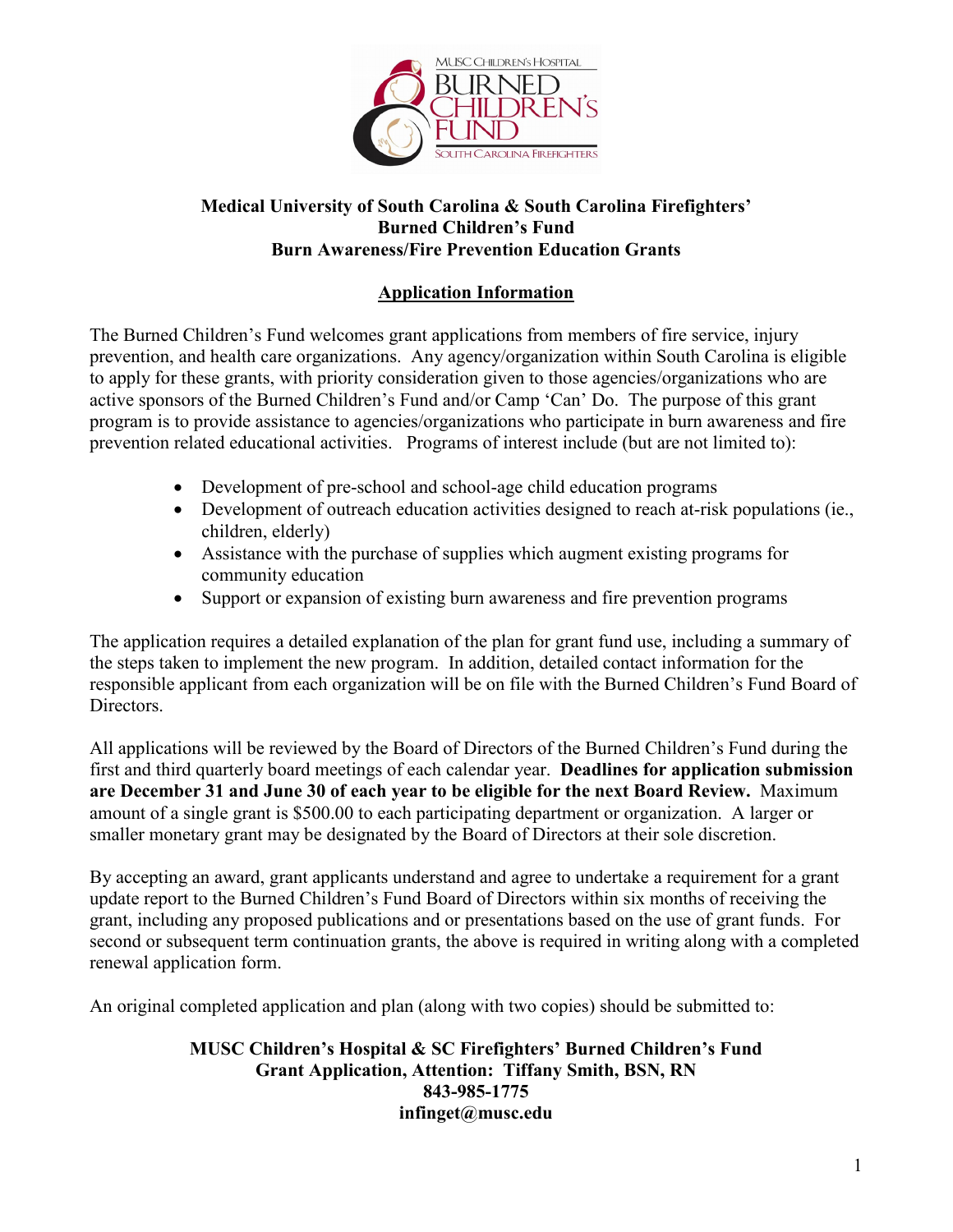

## **Medical University of South Carolina & South Carolina Firefighters' Burned Children's Fund Burn Awareness/Fire Prevention Education Grants**

## **Application Information**

The Burned Children's Fund welcomes grant applications from members of fire service, injury prevention, and health care organizations. Any agency/organization within South Carolina is eligible to apply for these grants, with priority consideration given to those agencies/organizations who are active sponsors of the Burned Children's Fund and/or Camp 'Can' Do. The purpose of this grant program is to provide assistance to agencies/organizations who participate in burn awareness and fire prevention related educational activities. Programs of interest include (but are not limited to):

- Development of pre-school and school-age child education programs
- Development of outreach education activities designed to reach at-risk populations (ie., children, elderly)
- Assistance with the purchase of supplies which augment existing programs for community education
- Support or expansion of existing burn awareness and fire prevention programs

The application requires a detailed explanation of the plan for grant fund use, including a summary of the steps taken to implement the new program. In addition, detailed contact information for the responsible applicant from each organization will be on file with the Burned Children's Fund Board of Directors.

All applications will be reviewed by the Board of Directors of the Burned Children's Fund during the first and third quarterly board meetings of each calendar year. **Deadlines for application submission are December 31 and June 30 of each year to be eligible for the next Board Review.** Maximum amount of a single grant is \$500.00 to each participating department or organization. A larger or smaller monetary grant may be designated by the Board of Directors at their sole discretion.

By accepting an award, grant applicants understand and agree to undertake a requirement for a grant update report to the Burned Children's Fund Board of Directors within six months of receiving the grant, including any proposed publications and or presentations based on the use of grant funds. For second or subsequent term continuation grants, the above is required in writing along with a completed renewal application form.

An original completed application and plan (along with two copies) should be submitted to:

## **MUSC Children's Hospital & SC Firefighters' Burned Children's Fund Grant Application, Attention: Tiffany Smith, BSN, RN 843-985-1775 infinget@musc.edu**